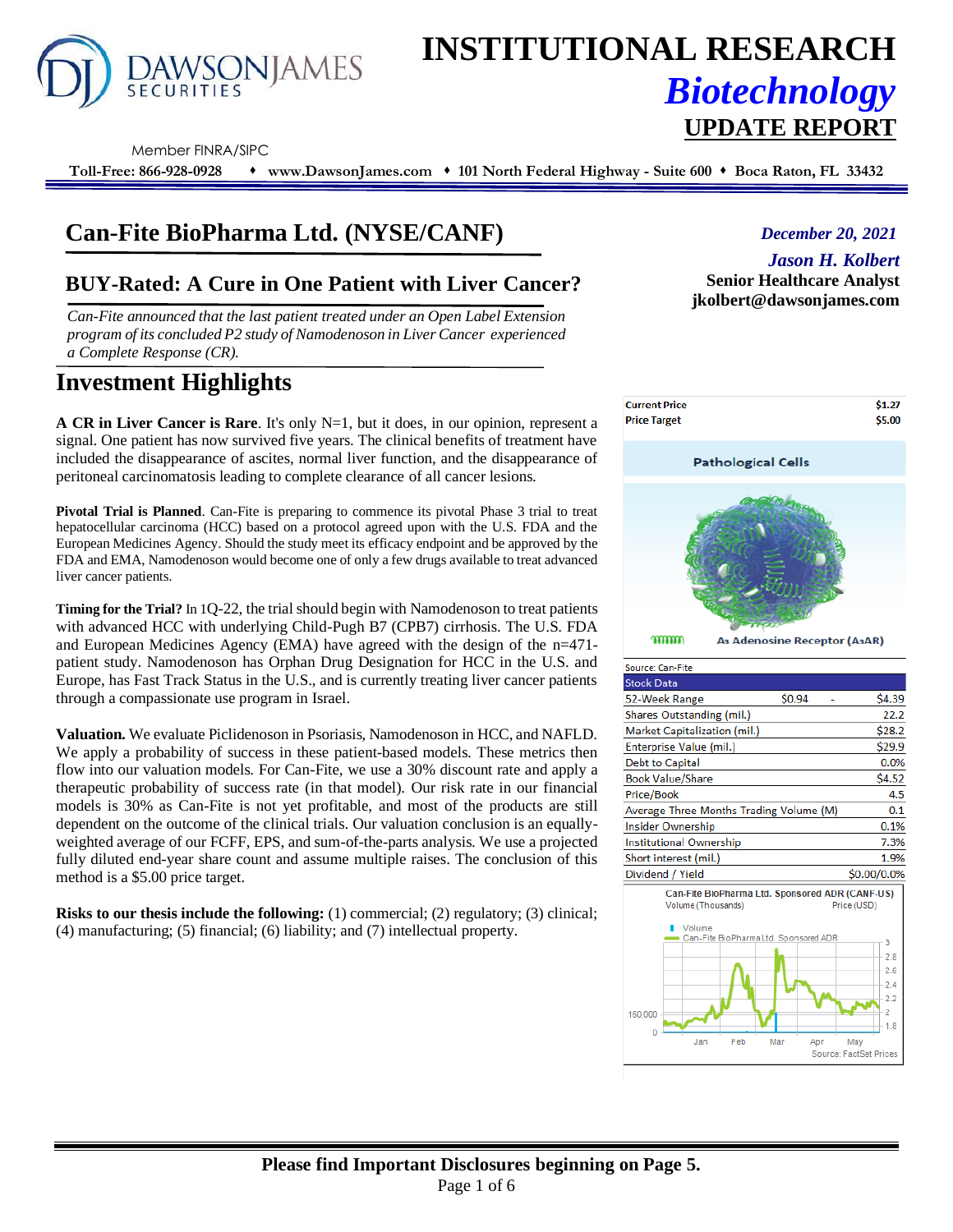

# **INSTITUTIONAL RESEARCH** *Biotechnology* **UPDATE REPORT**

Member FINRA/SIPC

**Toll-Free: 866-928-0928** ⬧ **www.DawsonJames.com** ⬧ **101 North Federal Highway - Suite 600** ⬧ **Boca Raton, FL 33432**

# **Can-Fite BioPharma Ltd. (NYSE/CANF)**

### **BUY-Rated: A Cure in One Patient with Liver Cancer?**

*Can-Fite announced that the last patient treated under an Open Label Extension program of its concluded P2 study of Namodenoson in Liver Cancer experienced a Complete Response (CR).* 

## **Investment Highlights**

**A CR in Liver Cancer is Rare**. It's only N=1, but it does, in our opinion, represent a signal. One patient has now survived five years. The clinical benefits of treatment have included the disappearance of ascites, normal liver function, and the disappearance of peritoneal carcinomatosis leading to complete clearance of all cancer lesions.

**Pivotal Trial is Planned**. Can-Fite is preparing to commence its pivotal Phase 3 trial to treat hepatocellular carcinoma (HCC) based on a protocol agreed upon with the U.S. FDA and the European Medicines Agency. Should the study meet its efficacy endpoint and be approved by the FDA and EMA, Namodenoson would become one of only a few drugs available to treat advanced liver cancer patients.

**Timing for the Trial?** In 1Q-22, the trial should begin with Namodenoson to treat patients with advanced HCC with underlying Child-Pugh B7 (CPB7) cirrhosis. The U.S. FDA and European Medicines Agency (EMA) have agreed with the design of the n=471 patient study. Namodenoson has Orphan Drug Designation for HCC in the U.S. and Europe, has Fast Track Status in the U.S., and is currently treating liver cancer patients through a compassionate use program in Israel.

**Valuation.** We evaluate Piclidenoson in Psoriasis, Namodenoson in HCC, and NAFLD. We apply a probability of success in these patient-based models. These metrics then flow into our valuation models. For Can-Fite, we use a 30% discount rate and apply a therapeutic probability of success rate (in that model). Our risk rate in our financial models is 30% as Can-Fite is not yet profitable, and most of the products are still dependent on the outcome of the clinical trials. Our valuation conclusion is an equallyweighted average of our FCFF, EPS, and sum-of-the-parts analysis. We use a projected fully diluted end-year share count and assume multiple raises. The conclusion of this method is a \$5.00 price target.

**Risks to our thesis include the following:** (1) commercial; (2) regulatory; (3) clinical; (4) manufacturing; (5) financial; (6) liability; and (7) intellectual property.

#### *December 20, 2021*

#### *Jason H. Kolbert*

**Senior Healthcare Analyst jkolbert@dawsonjames.com**



| Source: Can-Fite                                                                                                                   |                                                         |
|------------------------------------------------------------------------------------------------------------------------------------|---------------------------------------------------------|
| <b>Stock Data</b>                                                                                                                  |                                                         |
| \$0.94<br>52-Week Range                                                                                                            | \$4.39                                                  |
| Shares Outstanding (mil.)                                                                                                          | 22.2                                                    |
| Market Capitalization (mil.)                                                                                                       | \$28.2                                                  |
| Enterprise Value (mil.)                                                                                                            | \$29.9                                                  |
| Debt to Capital                                                                                                                    | 0.0%                                                    |
| <b>Book Value/Share</b>                                                                                                            | \$4.52                                                  |
| Price/Book                                                                                                                         | 4.5                                                     |
| Average Three Months Trading Volume (M)                                                                                            | 0.1                                                     |
| <b>Insider Ownership</b>                                                                                                           | 0.1%                                                    |
| <b>Institutional Ownership</b>                                                                                                     | 7.3%                                                    |
| Short interest (mil.)                                                                                                              | 1.9%                                                    |
| Dividend / Yield                                                                                                                   | \$0.00/0.0%                                             |
| Can-Fite BioPharma Ltd. Sponsored ADR (CANF-US)<br>Volume (Thousands)<br>Volume<br>Can-Fite BioPharmaLtd. Sponsored ADR<br>160,000 | Price (USD)<br>3<br>28<br>2.6<br>2.4<br>2.2<br>2<br>1.8 |
| Feb<br>Mar<br>Jan                                                                                                                  | May<br>Apr<br>Source: FactSet Prices                    |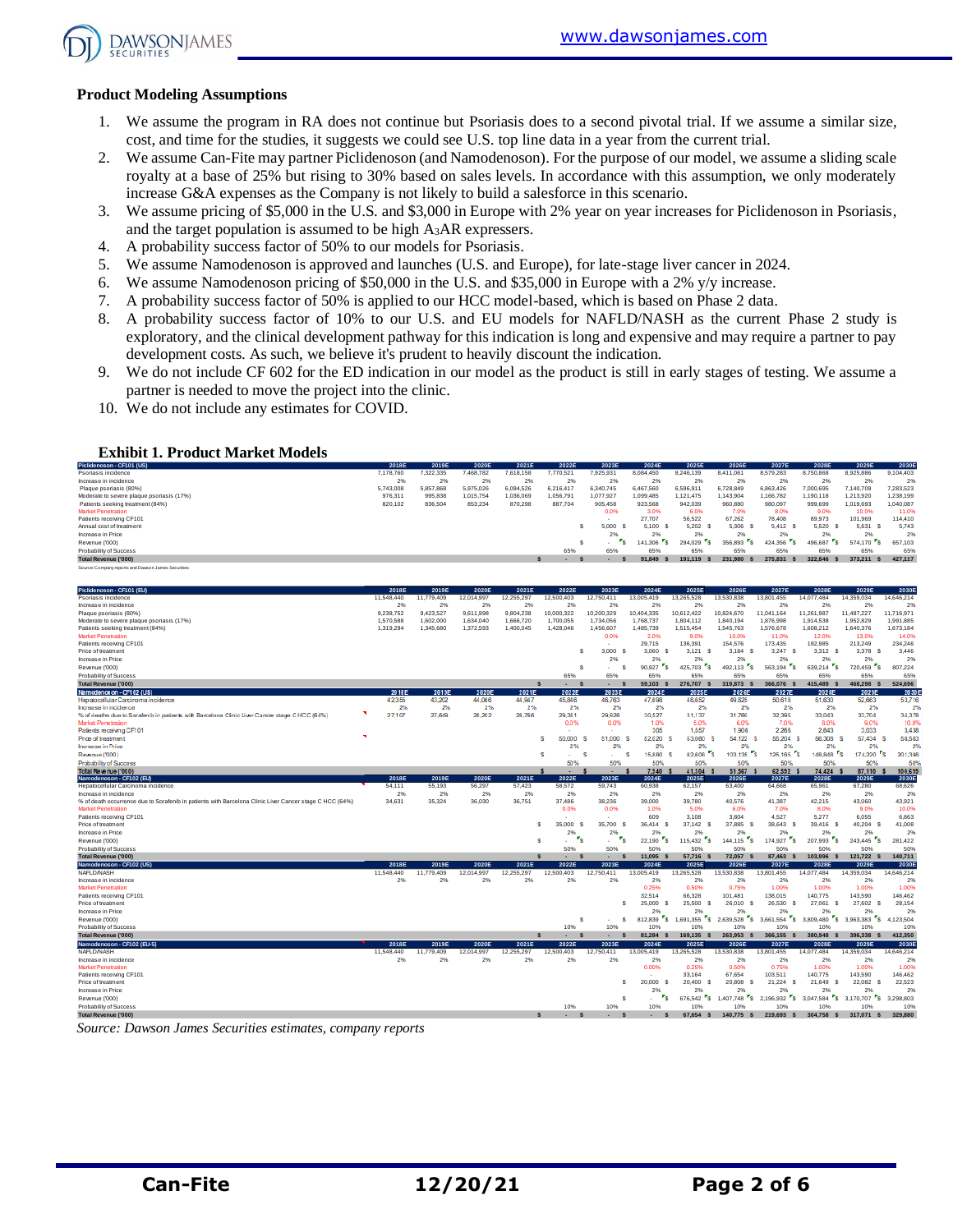

#### **Product Modeling Assumptions**

- 1. We assume the program in RA does not continue but Psoriasis does to a second pivotal trial. If we assume a similar size, cost, and time for the studies, it suggests we could see U.S. top line data in a year from the current trial.
- 2. We assume Can-Fite may partner Piclidenoson (and Namodenoson). For the purpose of our model, we assume a sliding scale royalty at a base of 25% but rising to 30% based on sales levels. In accordance with this assumption, we only moderately increase G&A expenses as the Company is not likely to build a salesforce in this scenario.
- 3. We assume pricing of \$5,000 in the U.S. and \$3,000 in Europe with 2% year on year increases for Piclidenoson in Psoriasis, and the target population is assumed to be high A3AR expressers.
- 4. A probability success factor of 50% to our models for Psoriasis.
- 5. We assume Namodenoson is approved and launches (U.S. and Europe), for late-stage liver cancer in 2024.
- 6. We assume Namodenoson pricing of \$50,000 in the U.S. and \$35,000 in Europe with a 2% y/y increase.
- 7. A probability success factor of 50% is applied to our HCC model-based, which is based on Phase 2 data.
- 8. A probability success factor of 10% to our U.S. and EU models for NAFLD/NASH as the current Phase 2 study is exploratory, and the clinical development pathway for this indication is long and expensive and may require a partner to pay development costs. As such, we believe it's prudent to heavily discount the indication.
- 9. We do not include CF 602 for the ED indication in our model as the product is still in early stages of testing. We assume a partner is needed to move the project into the clinic.
- 10. We do not include any estimates for COVID.

#### **Exhibit 1. Product Market Models**

| Piclidenoson - CF101 (US)                           | 2018E     | 2019E     | 2020E     | 2021E     | 2022E     | 2023E     | 2024E     | 2025E     | 2026E     | 2027E     | 2028E     | 2029E     | 2030E     |
|-----------------------------------------------------|-----------|-----------|-----------|-----------|-----------|-----------|-----------|-----------|-----------|-----------|-----------|-----------|-----------|
| Psoriasis incidence                                 | 7.178.760 | 322.335   | 7.468.782 | 7.618.158 | 7.770.521 | 7.925.931 | 8.084.450 | 8.246.139 | 8,411,061 | 8,579,283 | 8.750.868 | 8,925,886 | 9.104.403 |
| Increase in incidence                               | 2%        | 2%        | 2%        | 2%        | 2%        | 2%        | 2%        | 2%        | 2%        | 2%        | 2%        | 2%        | 2%        |
| Plaque psoriasis (80%)                              | 5.743.008 | 5.857.868 | 5.975.026 | 6.094.526 | 6.216.417 | 6,340,745 | 6.467.560 | 6,596.91  | 6.728.849 | 6.863.426 | 000.695   | 7.140.709 | 7.283.523 |
| Moderate to severe plaque psoriasis (17%)           | 976,311   | 995.838   | 1.015.754 | 1.036.069 | 1.056.79  | 1.077.927 | 1,099,485 | 1.121.475 | 1,143,904 | 1,166,782 | ,190,118  | 1.213.920 | 1.238.199 |
| Patients seeking treatment (84%)                    | 820,102   | 836,504   | 853,234   | 870,298   | 887.704   | 905,458   | 923.568   | 942,039   | 960,880   | 980,097   | 999,699   | 1,019,693 | 1,040,087 |
| <b>Market Penetration</b>                           |           |           |           |           |           | 0.0%      | 3.0%      | 6.0%      | 7.0%      | 8.0%      | 9.0%      | 10.0%     | 11.0%     |
| Patients receiving CF101                            |           |           |           |           |           |           | 27.707    | 56,522    | 67.262    | 78,408    | 89.973    | 101.969   | 114,410   |
| Annual cost of treatment                            |           |           |           |           |           | 5,000 \$  | 5.100     | 5.202     | 5.306     | 5.412 S   | 5.520     | 5.631     | 5.743     |
| Increase in Price                                   |           |           |           |           |           | 2%        | 2%        | 2%        | 2%        | 2%        | 2%        | 2%        | 2%        |
| Revenue ('000)                                      |           |           |           |           |           | $\sim$    | 141,306   | 294.029   | 356,893   | 424.356   | 496.687   | 574.170 S | 657.103   |
| Probability of Success                              |           |           |           |           | 65%       | 65%       | 65%       | 65%       | 65%       | 65%       | 65%       | 65%       | 65%       |
| Total Revenue ('000)                                |           |           |           |           |           |           | 91.849    | 191.119   | 231.980   | 275.831   | 322.846   | 373.211   | 427,117   |
| Source: Company reports and Dawson James Securities |           |           |           |           |           |           |           |           |           |           |           |           |           |

| Piclidenoson - CF101 (EU)                                                                                                        | 2018E        | 2019E        | 2020E        | 2021E        | 2022E                  | 2023E                                               | 2024E                             | 2025E                                | 2026E                                  | 2027E                              | 2028E                                | 2029E                                | 2030E          |
|----------------------------------------------------------------------------------------------------------------------------------|--------------|--------------|--------------|--------------|------------------------|-----------------------------------------------------|-----------------------------------|--------------------------------------|----------------------------------------|------------------------------------|--------------------------------------|--------------------------------------|----------------|
| Psoriasis incidence                                                                                                              | 11,548,440   | 11,779,409   | 12.014.997   | 12,255,297   | 12.500.403             | 12.750.411                                          | 13,005,419                        | 13,265,528                           | 13,530,838                             | 13,801,455                         | 14.077.484                           | 14,359,034                           | 14,646.214     |
| Increase in incidence                                                                                                            | 2%           | 2%           | 2%           | 2%           | 2%                     | 2%                                                  | 2%                                | 2%                                   | 2%                                     | 2%                                 | 2%                                   | 2%                                   | 2%             |
| Plague psoriasis (80%)                                                                                                           | 9.238.752    | 9.423.527    | 9.611.998    | 9.804.238    | 10.000.322             | 10.200.329                                          | 10.404.335                        | 10.612.422                           | 10.824.670                             | 11.041.164                         | 11.261.987                           | 11,487,227                           | 11.716.971     |
| Moderate to severe plaque psoriasis (17%)                                                                                        | 1,570,588    | 1,602,000    | 1,634,040    | 1,666,720    | 1,700,055              | 1,734,056                                           | 1,768,737                         | 1,804,112                            | 1,840,194                              | 1,876,998                          | 1,914,538                            | 1,952,829                            | 1,991,885      |
| Patients seeking treatment (84%)                                                                                                 | 1,319,294    | 1,345,680    | 1,372,593    | 1,400,045    | 1,428,046              | 1,456,607                                           | 1,485,739                         | 1,515,454                            | 1,545,763                              | 1,576,678                          | 1,608,212                            | 1,640,376                            | 1,673,184      |
| <b>Market Penetration</b>                                                                                                        |              |              |              |              |                        | 0.0%                                                | 2.0%                              | 9.0%                                 | 10.0%                                  | 11.0%                              | 12.0%                                | 13.0%                                | 14.0%          |
| Patients receiving CF101                                                                                                         |              |              |              |              |                        |                                                     | 29.715                            | 136,391                              | 154,576                                | 173,435                            | 192,985                              | 213,249                              | 234,246        |
| Price of treatment                                                                                                               |              |              |              |              | s                      | 3.000<br>- \$                                       | 3.060 \$                          | $3,121$ \$                           | $3,184$ \$                             | 3,247<br>s                         | 3.312 S                              | 3.378 S                              | 3.446          |
| Increase in Price                                                                                                                |              |              |              |              |                        | 2%                                                  | 2%                                | 2%                                   | 2%                                     | 2%                                 | 2%                                   | 2%                                   | 2%             |
| Revenue ('000)                                                                                                                   |              |              |              |              | s                      | \$.<br>$\overline{\phantom{a}}$                     | $\mathbf{r}_\mathsf{S}$<br>90.927 | $\mathbf{r}_\mathbf{S}$<br>425.703   | $\mathbf{r}_\mathbf{S}$<br>492.113     | $\mathbf{r}_\mathbf{S}$<br>563,194 | 639,214 5                            | 720.459 S                            | 807,224        |
| Probability of Success                                                                                                           |              |              |              |              | 65%                    | 65%                                                 | 65%                               | 65%                                  | 65%                                    | 65%                                | 65%                                  | 65%                                  | 65%            |
| Total Revenue ('000)                                                                                                             |              |              |              | $\mathbf{s}$ | $\mathbf{s}$<br>$\sim$ | $\mathbf{s}$<br>$\sim$                              | $59,103$ \$                       | 276,707 \$                           | 319,873 \$                             | 366,076 \$                         | 415,489 \$                           | 468.298 \$                           | 524,696        |
| Namodenos on - CF1 02 (US)                                                                                                       | 2018E        | 2019E        | 2020E        | 2021E        | 2022E                  | 2023E                                               | 2024E                             | 2025E                                | 2026E                                  | 2027E                              | 2028E                                | 2029E                                | 20305          |
| Hepatocellular Carcinoma incidence                                                                                               | 42,355       | 43,202       | 44,066       | 44.947       | 45,846                 | 46,763                                              | 47,698                            | 48,652                               | 49.625                                 | 50,618                             | 51,630                               | 52,663                               | 53,716         |
| Increase in incidence                                                                                                            | 2%           | 2%           | 2%           | 2%           | 2%                     | 2%                                                  | 2%                                | 2%                                   | 2%                                     | 2%                                 | 2%                                   | 2%                                   | 2%             |
| % of deaths due to Sorafenib in patients with Barcelona Clinic Liver Cancer stage CHCC (64%)                                     | 27,107       | 27,649       | 28,202       | 28,766       | 29,341                 | 29,928                                              | 30,527                            | 31.137                               | 31,760                                 | 32,395                             | 33,043                               | 33,704                               | 34,378         |
| Market Penetration                                                                                                               |              |              |              |              | 0.0%                   | 0.0%                                                | 1.0%                              | 5.0%                                 | 6.0%                                   | 7.0%                               | 8.0%                                 | 9.0%                                 | 10.0%          |
| Patients receiving CF101                                                                                                         | ×            |              |              |              |                        |                                                     | 305                               | 1,557                                | 1.906                                  | 2,268                              | 2.643                                | 3.033                                | 3,438          |
| Price of treatment                                                                                                               |              |              |              |              | 50,000<br>s<br>2%      | 51,000<br>2%                                        | 52.020<br>s                       | 53,060<br>s                          | 54.122 S<br>2%                         | 55.204 S<br>2%                     | 56,308<br>2%                         | 57,434<br>s<br>2%                    | 58,583<br>2%   |
| <b>Increase</b> in Price                                                                                                         |              |              |              |              | s                      | s                                                   | 2%                                | 2%<br>۰,                             |                                        | i Ts<br>125,185 S                  |                                      | r.                                   |                |
| Revenue ('000)                                                                                                                   |              |              |              |              | a.<br>50%              | $\sim$<br>50%                                       | 15,880<br>s<br>50%                | 82.608<br>s<br>50%                   | 103,135<br>50%                         | 50%                                | 148,848<br>50%                       | 174,220 S<br>50%                     | 201,398<br>50% |
| Probability of Success<br>Total Revenue ('000)                                                                                   |              |              |              |              |                        |                                                     | 7.940                             | 41.304 \$                            | 51,567 \$                              | 62.592 \$                          | 74.424                               | 87,110                               |                |
|                                                                                                                                  |              |              |              |              | ٠                      | ٠                                                   |                                   |                                      |                                        |                                    |                                      |                                      | 100,639        |
| Namodenoson - CF102 (EU)                                                                                                         | 2018E        | 2019E        | 2020E        | 2021E        | 2022E                  | 2023E                                               | 2024E                             | 2025E                                | 2026E                                  | 2027E                              | 2028E                                | 2029E                                | 2030E          |
| Hepatocellular Carcinoma incidence                                                                                               | 54,111       | 55,193       | 56,297       | 57,423       | 58,572                 | 59,743                                              | 60,938                            | 62,157                               | 63,400                                 | 64,668                             | 65,961                               | 67,280                               | 68,626         |
| Increase in incidence<br>% of death occurrence due to Sorafenib in patients with Barcelona Clinic Liver Cancer stage C HCC (64%) | 2%<br>34,631 | 2%<br>35.324 | 2%<br>36,030 | 2%<br>36.751 | 2%<br>37,486           | 2%<br>38.236                                        | 2%<br>39,000                      | 2%<br>39,780                         | 2%<br>40,576                           | 2%<br>41,387                       | 2%<br>42.215                         | 2%<br>43,060                         | 2%<br>43,921   |
| <b>Market Penetration</b>                                                                                                        |              |              |              |              | 0.0%                   | 0.0%                                                | 1.0%                              | 5.0%                                 | 6.0%                                   | 7.0%                               | 8.0%                                 | 9.0%                                 | 10.0%          |
| Patients receiving CF101                                                                                                         |              |              |              |              |                        |                                                     | 609                               | 3,108                                | 3.804                                  | 4,527                              | 5.277                                | 6.055                                | 6,863          |
| Price of treatment                                                                                                               |              |              |              | s            | 35,000<br>-S           | 35,700<br>s                                         | 36.414<br>- 5                     | 37,142 \$                            | 37,885<br>- S                          | 38,643<br>- 5                      | 39.416 S                             | 40,204 \$                            | 41,008         |
| Increase in Price                                                                                                                |              |              |              |              | 2%                     | 2%                                                  | 2%                                | 2%                                   | 2%                                     | 2%                                 | 2%                                   | 2%                                   | 2%             |
| Revenue ('000)                                                                                                                   |              |              |              |              | $r_{\rm s}$<br>s<br>ă. | $\mathbf{r}_\mathbf{S}$<br>$\overline{\phantom{a}}$ | $r_{\rm s}$<br>22.190             | •s.<br>115,432                       | $\mathbf{r}_{\mathsf{S}}$<br>144,115   | 174.927 S                          | $\mathbf{r}_\mathbf{S}$<br>207.993   | $243,445$ \$                         | 281.422        |
| Probability of Success                                                                                                           |              |              |              |              | 50%                    | 50%                                                 | 50%                               | 50%                                  | 50%                                    | 50%                                | 50%                                  | 50%                                  | 50%            |
| <b>Total Revenue ('000)</b>                                                                                                      |              |              |              | $\mathbf{s}$ | <b>S</b><br>×.         | $\mathbf{s}$<br>$\sim$                              | 11.095 \$                         | 57.716 \$                            | 72.057 \$                              | 87,463 \$                          | 103.996 \$                           | 121.722 \$                           | 140,711        |
| Namodenoson - CF102 (US)                                                                                                         | 2018E        | 2019E        | 2020E        | 2021E        | 2022E                  | 2023E                                               | 2024E                             | 2025E                                | 2026E                                  | 2027E                              | 2028E                                | 2029E                                | 2030E          |
| NAFLD/NASH                                                                                                                       | 11,548,440   | 11,779,409   | 12,014,997   | 12,255,297   | 12,500,403             | 12,750,411                                          | 13,005,419                        | 13,265,528                           | 13,530,838                             | 13,801,455                         | 14,077,484                           | 14,359,034                           | 14,646,214     |
| Increase in incidence                                                                                                            | 2%           | 2%           | 2%           | 2%           | 2%                     | 2%                                                  | 2%                                | 2%                                   | 2%                                     | 2%                                 | 2%                                   | 2%                                   | 2%             |
| <b>Market Penetration</b>                                                                                                        |              |              |              |              |                        |                                                     | 0.25%                             | 0.50%                                | 0.75%                                  | 1.00%                              | 1.00%                                | 1.00%                                | 1.00%          |
| Patients receiving CF101                                                                                                         |              |              |              |              |                        |                                                     | 32.514                            | 66,328                               | 101,481                                | 138,015                            | 140,775                              | 143,590                              | 146,462        |
| Price of treatment                                                                                                               |              |              |              |              |                        | s                                                   | 25,000 \$                         | 25,500 \$                            | 26,010 \$                              | 26,530 \$                          | 27,061<br>- S                        | 27,602 \$                            | 28,154         |
| Increase in Price                                                                                                                |              |              |              |              |                        |                                                     | 2%                                | 2%                                   | 2%                                     | 2%                                 | 2%                                   | 2%                                   | 2%             |
| Revenue ('000)                                                                                                                   |              |              |              |              | s                      | s                                                   | $\cdot$ $\cdot$<br>812.839        | $\cdot$ $\cdot$ $\cdot$<br>1.691.355 | $\mathbf{r}_\mathbf{S}$<br>2.639.528   | $3.661.554$ S                      | $\mathbf{r}_\mathbf{S}$<br>3,809,480 | $\mathbf{r}_\mathbf{S}$<br>3.963.383 | 4.123.504      |
| Probability of Success                                                                                                           |              |              |              |              | 10%                    | 10%                                                 | 10%                               | 10%                                  | 10%                                    | 10%                                | 10%                                  | 10%                                  | 10%            |
| <b>Total Revenue ('000)</b>                                                                                                      |              |              |              | $\mathbf{s}$ | $\sim$<br>s            | $\sim$<br>s                                         | 81.284 \$                         | 169.135 \$                           | 263.953 \$                             | 366,155 S                          | 380.948 \$                           | 396,338 \$                           | 412,350        |
| Namodenoson - CF102 (EU-5)                                                                                                       | 2018E        | 2019E        | 2020E        | 2021E        | 2022E                  | 2023E                                               | 2024E                             | 2025E                                | 2026E                                  | 2027E                              | 2028E                                | 2029E                                | 2030E          |
| NAFLD/NASH                                                                                                                       | 11,548,440   | 11,779,409   | 12.014.997   | 12,255,297   | 12,500,403             | 12.750.411                                          | 13,005,419                        | 13,265,528                           | 13,530,838                             | 13,801,455                         | 14,077,484                           | 14,359,034                           | 14,646,214     |
| Increase in incidence                                                                                                            | 2%           | 2%           | 2%           | 2%           | 2%                     | 2%                                                  | 2%                                | 2%                                   | 2%                                     | 2%                                 | 2%                                   | 2%                                   | 2%             |
| <b>Market Penetration</b>                                                                                                        |              |              |              |              |                        |                                                     | 0.00%                             | 0.25%                                | 0.50%                                  | 0.75%                              | 1.00%                                | 1.00%                                | 1.00%          |
| Patients receiving CF101                                                                                                         |              |              |              |              |                        |                                                     |                                   | 33,164                               | 67,654                                 | 103,511                            | 140,775                              | 143,590                              | 146,462        |
| Price of treatment                                                                                                               |              |              |              |              |                        | s                                                   | 20,000 \$                         | 20.400 S                             | 20,808<br>s                            | 21,224 \$                          | 21.649<br>- S                        | 22,082<br>-S                         | 22,523         |
| Increase in Price                                                                                                                |              |              |              |              |                        |                                                     | 2%                                | 2%                                   | 2%                                     | 2%                                 | 2%                                   | 2%                                   | 2%             |
| Revenue ('000)                                                                                                                   |              |              |              |              |                        | s                                                   | $\mathbf{r}_\mathsf{S}$           | 676,542                              | S 1.407.748<br>$\mathbf{r}_\mathbf{S}$ | 2,196,932 S                        | $\cdot$ $\cdot$ $\cdot$<br>3,047,584 | $\mathbf{r}_\mathbf{s}$<br>3,170,707 | 3.298.803      |
| Probability of Success                                                                                                           |              |              |              |              | 10%                    | 10%                                                 | 10%                               | 10%                                  | 10%                                    | 10%                                | 10%                                  | 10%                                  | 10%            |
| <b>Total Revenue ('000)</b>                                                                                                      |              |              |              | $\mathbf{s}$ | $\mathbf{s}$<br>٠      | s                                                   | $\mathbf{s}$                      | 67.654 \$                            | 140.775 \$                             | 219.693 S                          | 304.758 \$                           | 317.071 \$                           | 329,880        |

*Source: Dawson James Securities estimates, company reports*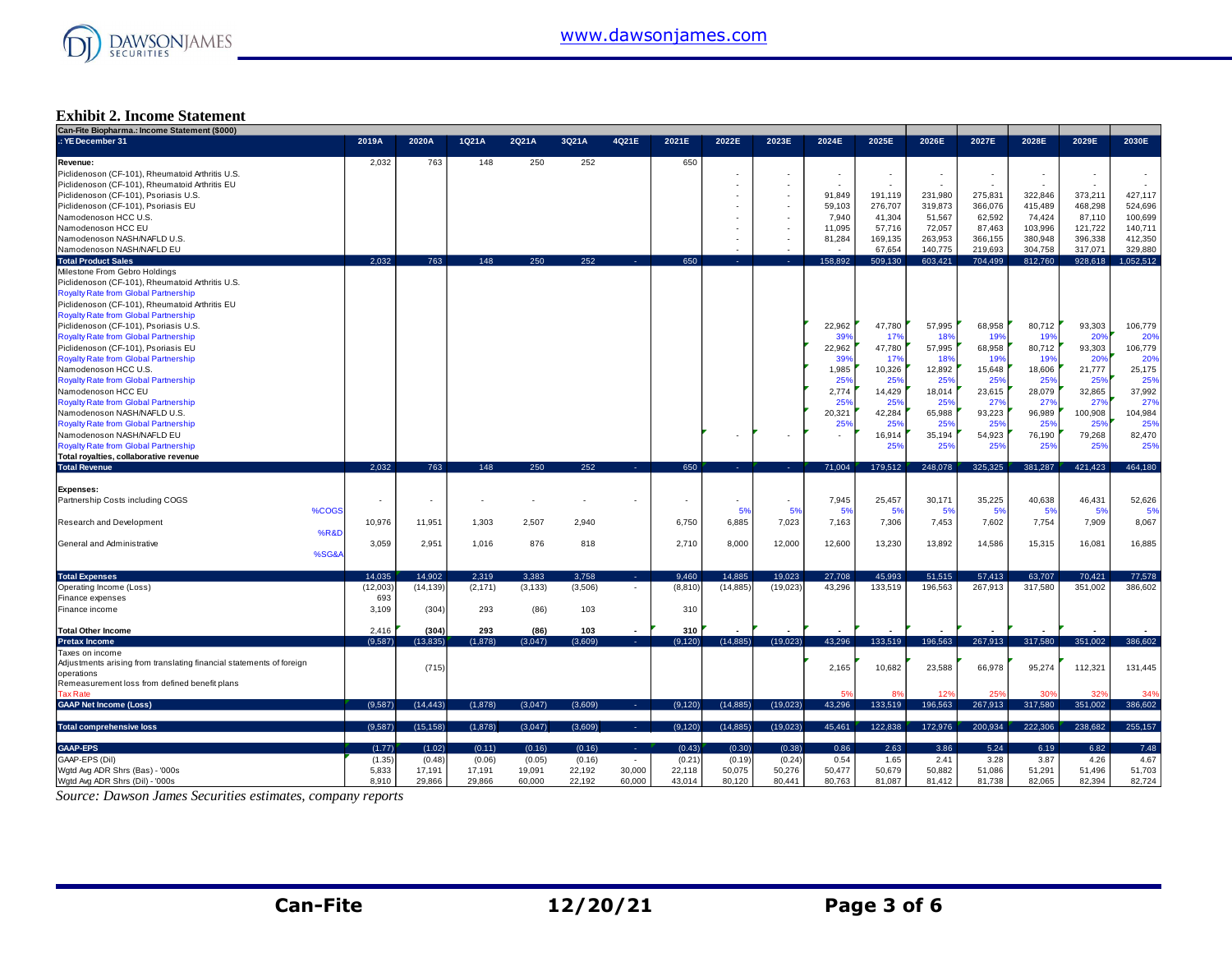

#### **Exhibit 2. Income Statement**

| Can-Fite Biopharma.: Income Statement (\$000)                        |          |                          |          |          |         |                          |          |           |           |                 |                          |         |                          |         |         |           |
|----------------------------------------------------------------------|----------|--------------------------|----------|----------|---------|--------------------------|----------|-----------|-----------|-----------------|--------------------------|---------|--------------------------|---------|---------|-----------|
| .: YE December 31                                                    | 2019A    | 2020A                    | 1Q21A    | 2Q21A    | 3Q21A   | 4Q21E                    | 2021E    | 2022E     | 2023E     | 2024E           | 2025E                    | 2026E   | 2027E                    | 2028E   | 2029E   | 2030E     |
| Revenue:                                                             | 2,032    | 763                      | 148      | 250      | 252     |                          | 650      |           |           |                 |                          |         |                          |         |         |           |
| Piclidenoson (CF-101), Rheumatoid Arthritis U.S.                     |          |                          |          |          |         |                          |          |           |           | ٠               | $\overline{\phantom{a}}$ | $\sim$  | $\overline{\phantom{a}}$ |         | $\sim$  |           |
| Piclidenoson (CF-101), Rheumatoid Arthritis EU                       |          |                          |          |          |         |                          |          |           |           | ÷               | i.                       |         |                          |         | ÷       |           |
|                                                                      |          |                          |          |          |         |                          |          |           |           |                 |                          |         |                          |         |         |           |
| Piclidenoson (CF-101), Psoriasis U.S.                                |          |                          |          |          |         |                          |          |           |           | 91,849          | 191,119                  | 231,980 | 275,831                  | 322,846 | 373,211 | 427,117   |
| Piclidenoson (CF-101), Psoriasis EU                                  |          |                          |          |          |         |                          |          |           |           | 59,103          | 276,707                  | 319,873 | 366,076                  | 415,489 | 468,298 | 524,696   |
| Namodenoson HCC U.S.                                                 |          |                          |          |          |         |                          |          |           |           | 7,940           | 41,304                   | 51,567  | 62,592                   | 74,424  | 87,110  | 100,699   |
| Namodenoson HCC EU                                                   |          |                          |          |          |         |                          |          |           |           | 11,095          | 57,716                   | 72,057  | 87,463                   | 103,996 | 121,722 | 140,711   |
| Namodenoson NASH/NAFLD U.S.                                          |          |                          |          |          |         |                          |          |           |           | 81.284          | 169,135                  | 263,953 | 366,155                  | 380,948 | 396,338 | 412,350   |
| Namodenoson NASH/NAFLD EU                                            |          |                          |          |          |         |                          |          |           |           |                 | 67,654                   | 140,775 | 219.693                  | 304,758 | 317,071 | 329,880   |
| <b>Total Product Sales</b>                                           | 2.032    | 763                      | 148      | 250      | 252     |                          | 650      |           |           | 158.892         | 509.130                  | 603.421 | 704.499                  | 812,760 | 928,618 | 1.052.512 |
| Milestone From Gebro Holdings                                        |          |                          |          |          |         |                          |          |           |           |                 |                          |         |                          |         |         |           |
| Piclidenoson (CF-101), Rheumatoid Arthritis U.S.                     |          |                          |          |          |         |                          |          |           |           |                 |                          |         |                          |         |         |           |
|                                                                      |          |                          |          |          |         |                          |          |           |           |                 |                          |         |                          |         |         |           |
| <b>Royalty Rate from Global Partnership</b>                          |          |                          |          |          |         |                          |          |           |           |                 |                          |         |                          |         |         |           |
| Piclidenoson (CF-101), Rheumatoid Arthritis EU                       |          |                          |          |          |         |                          |          |           |           |                 |                          |         |                          |         |         |           |
| <b>Royalty Rate from Global Partnership</b>                          |          |                          |          |          |         |                          |          |           |           |                 |                          |         |                          |         |         |           |
| Piclidenoson (CF-101), Psoriasis U.S.                                |          |                          |          |          |         |                          |          |           |           | 22.962          | 47.780                   | 57,995  | 68,958                   | 80.712  | 93,303  | 106,779   |
| <b>Royalty Rate from Global Partnership</b>                          |          |                          |          |          |         |                          |          |           |           | 39 <sup>°</sup> | 179                      | 18%     | 19%                      | 19%     | 20%     | 20%       |
| Piclidenoson (CF-101), Psoriasis EU                                  |          |                          |          |          |         |                          |          |           |           | 22.962          | 47,780                   | 57,995  | 68,958                   | 80,712  | 93,303  | 106,779   |
| <b>Royalty Rate from Global Partnership</b>                          |          |                          |          |          |         |                          |          |           |           | 39%             | 17%                      | 18%     | 19%                      | 19%     | 20%     | 20%       |
| Namodenoson HCC U.S.                                                 |          |                          |          |          |         |                          |          |           |           | 1.985           | 10,326                   | 12,892  | 15,648                   | 18,606  | 21,777  | 25,175    |
|                                                                      |          |                          |          |          |         |                          |          |           |           | 25%             | 25%                      | 25%     |                          | 25%     | 25%     | 25%       |
| <b>Royalty Rate from Global Partnership</b>                          |          |                          |          |          |         |                          |          |           |           |                 |                          |         | $25^{\circ}$             |         |         |           |
| Namodenoson HCC EU                                                   |          |                          |          |          |         |                          |          |           |           | 2.774           | 14,429                   | 18,014  | 23,615                   | 28,079  | 32,865  | 37,992    |
| <b>Royalty Rate from Global Partnership</b>                          |          |                          |          |          |         |                          |          |           |           | 25%             | 25%                      | 25%     | 27 <sup>o</sup>          | 27%     | 27%     | 27%       |
| Namodenoson NASH/NAFLD U.S.                                          |          |                          |          |          |         |                          |          |           |           | 20,321          | 42,284                   | 65,988  | 93,223                   | 96,989  | 100,908 | 104,984   |
| <b>Royalty Rate from Global Partnership</b>                          |          |                          |          |          |         |                          |          |           |           | 25%             | 25%                      | 25%     | 25 <sup>o</sup>          | 25%     | 25%     | 25%       |
| Namodenoson NASH/NAFLD EU                                            |          |                          |          |          |         |                          |          |           |           |                 | 16,914                   | 35,194  | 54,923                   | 76,190  | 79,268  | 82,470    |
| <b>Royalty Rate from Global Partnership</b>                          |          |                          |          |          |         |                          |          |           |           |                 | 25%                      | 25%     | 25%                      | 25%     | 25%     | 25%       |
|                                                                      |          |                          |          |          |         |                          |          |           |           |                 |                          |         |                          |         |         |           |
|                                                                      |          |                          |          |          |         |                          |          |           |           |                 |                          |         |                          |         |         |           |
| Total royalties, collaborative revenue                               |          |                          |          |          |         |                          |          |           |           |                 |                          |         |                          |         |         |           |
| <b>Total Revenue</b>                                                 | 2,032    | 763                      | 148      | 250      | 252     | <b>Card</b>              | 650      | .         | -41       | 71,004          | 179,512                  | 248,078 | 325,325                  | 381,287 | 421,423 | 464,180   |
|                                                                      |          |                          |          |          |         |                          |          |           |           |                 |                          |         |                          |         |         |           |
| Expenses:                                                            |          |                          |          |          |         |                          |          |           |           |                 |                          |         |                          |         |         |           |
| Partnership Costs including COGS                                     |          | $\overline{\phantom{a}}$ |          |          |         |                          |          |           | ٠         | 7,945           | 25,457                   | 30,171  | 35,225                   | 40,638  | 46,431  | 52,626    |
| %COGS                                                                |          |                          |          |          |         |                          |          | 5%        | 5%        | 5%              | 5%                       | 5%      | 5%                       | 5%      | 5%      | 5%        |
| Research and Development                                             | 10,976   | 11.951                   | 1.303    | 2,507    | 2.940   |                          | 6.750    | 6,885     | 7,023     | 7.163           | 7,306                    | 7,453   | 7,602                    | 7,754   | 7,909   | 8,067     |
| %R&D                                                                 |          |                          |          |          |         |                          |          |           |           |                 |                          |         |                          |         |         |           |
| General and Administrative                                           |          |                          |          | 876      | 818     |                          | 2.710    |           |           | 12,600          |                          |         | 14.586                   |         |         |           |
|                                                                      | 3,059    | 2,951                    | 1,016    |          |         |                          |          | 8,000     | 12,000    |                 | 13,230                   | 13,892  |                          | 15,315  | 16,081  | 16,885    |
| %SG&A                                                                |          |                          |          |          |         |                          |          |           |           |                 |                          |         |                          |         |         |           |
|                                                                      |          |                          |          |          |         |                          |          |           |           |                 |                          |         |                          |         |         |           |
| <b>Total Expenses</b>                                                | 14.035   | 14.902                   | 2,319    | 3.383    | 3,758   | $\sim$                   | 9,460    | 14.885    | 19,023    | 27,708          | 45,993                   | 51,515  | 57,413                   | 63,707  | 70,421  | 77,578    |
| Operating Income (Loss)                                              | (12,003) | (14, 139)                | (2, 171) | (3, 133) | (3,506) | $\overline{\phantom{a}}$ | (8, 810) | (14, 885) | (19, 023) | 43,296          | 133,519                  | 196,563 | 267,913                  | 317,580 | 351,002 | 386,602   |
| Finance expenses                                                     | 693      |                          |          |          |         |                          |          |           |           |                 |                          |         |                          |         |         |           |
| Finance income                                                       | 3,109    | (304)                    | 293      | (86)     | 103     |                          | 310      |           |           |                 |                          |         |                          |         |         |           |
|                                                                      |          |                          |          |          |         |                          |          |           |           |                 |                          |         |                          |         |         |           |
| <b>Total Other Income</b>                                            | 2,416    | (304)                    | 293      | (86)     | 103     |                          | 310      |           |           |                 |                          |         |                          |         |         |           |
| <b>Pretax Income</b>                                                 | (9,587)  | (13, 835)                | (1,878)  | (3,047)  | (3,609) | A.                       | (9, 120) | (14, 885) | (19, 023) | 43,296          | 133,519                  | 196,563 | 267,913                  | 317,580 | 351,002 | 386,602   |
|                                                                      |          |                          |          |          |         |                          |          |           |           |                 |                          |         |                          |         |         |           |
| Taxes on income                                                      |          |                          |          |          |         |                          |          |           |           |                 |                          |         |                          |         |         |           |
| Adjustments arising from translating financial statements of foreign |          | (715)                    |          |          |         |                          |          |           |           | 2,165           | 10,682                   | 23,588  | 66,978                   | 95,274  | 112,321 | 131,445   |
| operations                                                           |          |                          |          |          |         |                          |          |           |           |                 |                          |         |                          |         |         |           |
| Remeasurement loss from defined benefit plans                        |          |                          |          |          |         |                          |          |           |           |                 |                          |         |                          |         |         |           |
| <b>Tax Rate</b>                                                      |          |                          |          |          |         |                          |          |           |           | 59              |                          | 12%     | 25 <sup>c</sup>          |         | 32%     | 34%       |
| <b>GAAP Net Income (Loss)</b>                                        | (9,587)  | (14.443)                 | (1,878)  | (3.047)  | (3,609) | 14.1                     | (9, 120) | (14, 885) | (19,023)  | 43.296          | 133.519                  | 196.563 | 267,913                  | 317,580 | 351,002 | 386,602   |
|                                                                      |          |                          |          |          |         |                          |          |           |           |                 |                          |         |                          |         |         |           |
| <b>Total comprehensive loss</b>                                      | (9,587)  | (15, 158)                | (1,878)  | (3,047)  | (3,609) | <b>A</b>                 | (9, 120) | (14, 885) | (19,023)  | 45,461          | 122,838                  | 172,976 | 200,934                  | 222,306 | 238.682 | 255,157   |
|                                                                      |          |                          |          |          |         |                          |          |           |           |                 |                          |         |                          |         |         |           |
| <b>GAAP-EPS</b>                                                      | (1.77)   | (1.02)                   | (0.11)   | (0.16)   | (0.16)  | A.                       | (0.43)   | (0.30)    | (0.38)    | 0.86            | 2.63                     | 3.86    | 5.24                     | 6.19    | 6.82    | 7.48      |
| GAAP-EPS (Dil)                                                       | (1.35)   | (0.48)                   | (0.06)   | (0.05)   | (0.16)  | $\sim$                   | (0.21)   | (0.19)    | (0.24)    | 0.54            | 1.65                     | 2.41    | 3.28                     | 3.87    | 4.26    | 4.67      |
| Wgtd Avg ADR Shrs (Bas) - '000s                                      | 5,833    | 17,191                   | 17,191   | 19,091   | 22,192  | 30,000                   | 22,118   | 50,075    | 50,276    | 50,477          | 50,679                   | 50,882  | 51,086                   | 51,291  | 51,496  | 51,703    |

*Source: Dawson James Securities estimates, company reports*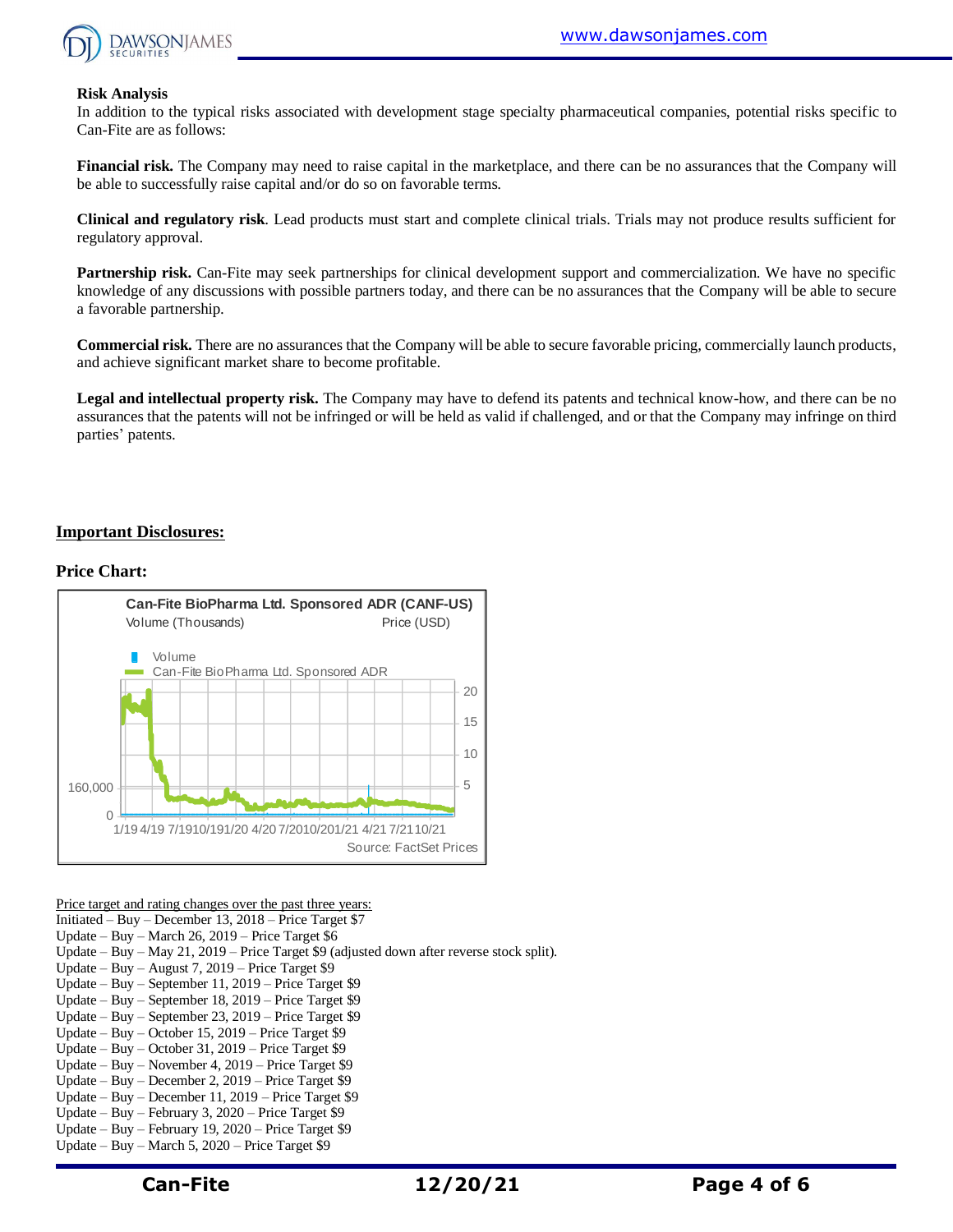

#### **Risk Analysis**

In addition to the typical risks associated with development stage specialty pharmaceutical companies, potential risks specific to Can-Fite are as follows:

**Financial risk.** The Company may need to raise capital in the marketplace, and there can be no assurances that the Company will be able to successfully raise capital and/or do so on favorable terms.

**Clinical and regulatory risk**. Lead products must start and complete clinical trials. Trials may not produce results sufficient for regulatory approval.

**Partnership risk.** Can-Fite may seek partnerships for clinical development support and commercialization. We have no specific knowledge of any discussions with possible partners today, and there can be no assurances that the Company will be able to secure a favorable partnership.

**Commercial risk.** There are no assurances that the Company will be able to secure favorable pricing, commercially launch products, and achieve significant market share to become profitable.

**Legal and intellectual property risk.** The Company may have to defend its patents and technical know-how, and there can be no assurances that the patents will not be infringed or will be held as valid if challenged, and or that the Company may infringe on third parties' patents.

#### **Important Disclosures:**

#### **Price Chart:**



Price target and rating changes over the past three years:

Initiated – Buy – December 13, 2018 – Price Target \$7

Update – Buy – March 26, 2019 – Price Target \$6

Update – Buy – May 21, 2019 – Price Target \$9 (adjusted down after reverse stock split).

- Update Buy August 7, 2019 Price Target \$9
- Update Buy September 11, 2019 Price Target \$9
- Update Buy September 18, 2019 Price Target \$9
- Update Buy September 23, 2019 Price Target \$9
- Update Buy October 15, 2019 Price Target \$9
- Update Buy October 31, 2019 Price Target \$9
- Update Buy November 4, 2019 Price Target \$9
- Update Buy December 2, 2019 Price Target \$9 Update – Buy – December 11, 2019 – Price Target \$9
- Update Buy February 3, 2020 Price Target \$9
- Update Buy February 19, 2020 Price Target \$9
- Update Buy March 5, 2020 Price Target \$9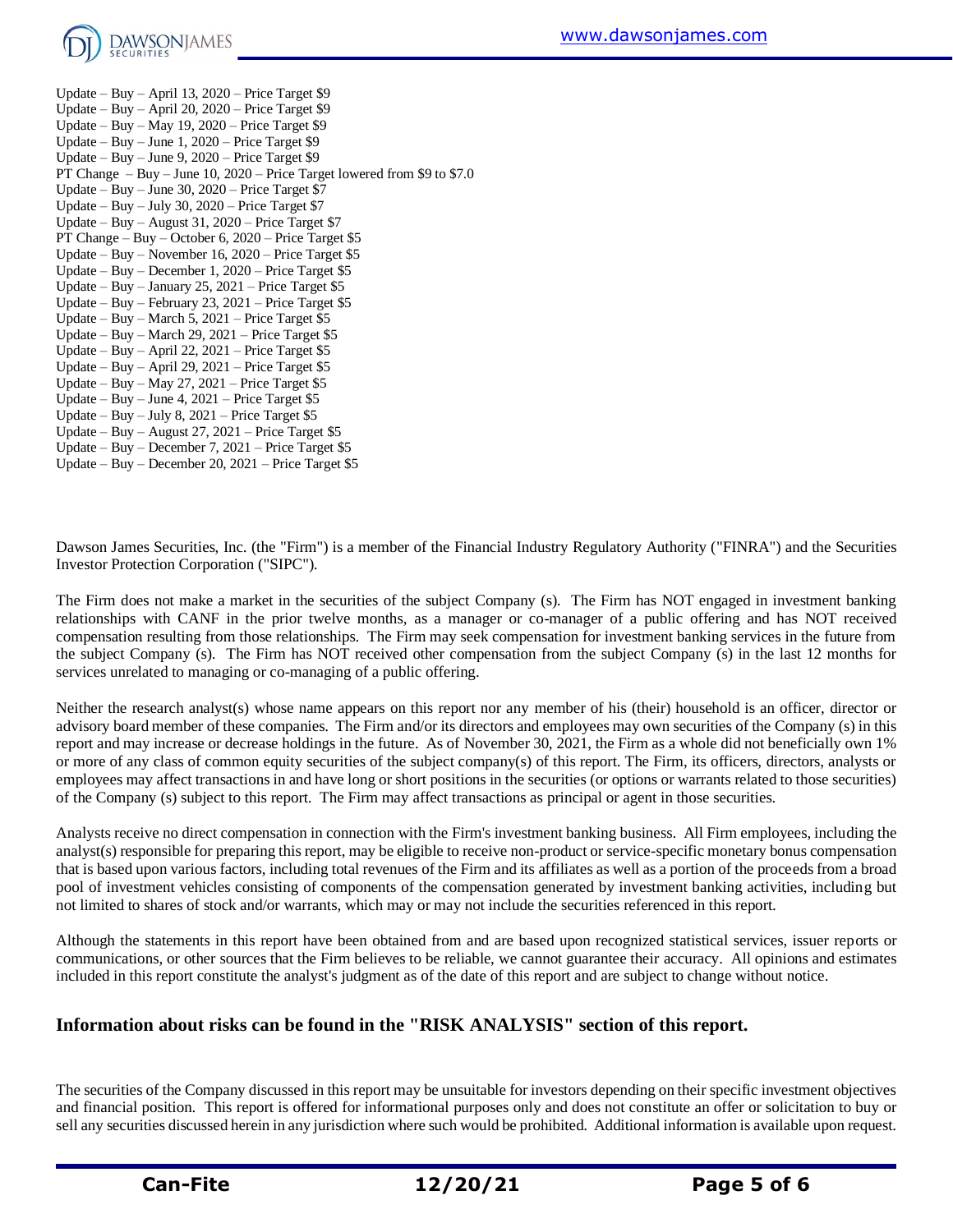

Update – Buy – April 13, 2020 – Price Target \$9 Update – Buy – April 20, 2020 – Price Target \$9 Update – Buy – May 19, 2020 – Price Target \$9 Update – Buy – June 1, 2020 – Price Target \$9 Update – Buy – June 9, 2020 – Price Target \$9 PT Change – Buy – June 10, 2020 – Price Target lowered from \$9 to \$7.0 Update – Buy – June  $30, 2020$  – Price Target \$7 Update – Buy – July 30, 2020 – Price Target \$7 Update – Buy – August 31, 2020 – Price Target \$7 PT Change – Buy – October 6, 2020 – Price Target \$5 Update – Buy – November 16, 2020 – Price Target \$5 Update – Buy – December 1, 2020 – Price Target \$5 Update – Buy – January 25, 2021 – Price Target \$5 Update – Buy – February 23, 2021 – Price Target \$5 Update – Buy – March 5, 2021 – Price Target \$5 Update – Buy – March 29, 2021 – Price Target \$5 Update – Buy – April 22, 2021 – Price Target \$5 Update – Buy – April 29, 2021 – Price Target \$5 Update – Buy – May 27, 2021 – Price Target \$5 Update – Buy – June 4, 2021 – Price Target \$5 Update – Buy – July 8, 2021 – Price Target \$5 Update – Buy – August 27, 2021 – Price Target  $$5$ Update – Buy – December 7, 2021 – Price Target \$5 Update – Buy – December 20, 2021 – Price Target \$5

Dawson James Securities, Inc. (the "Firm") is a member of the Financial Industry Regulatory Authority ("FINRA") and the Securities Investor Protection Corporation ("SIPC").

The Firm does not make a market in the securities of the subject Company (s). The Firm has NOT engaged in investment banking relationships with CANF in the prior twelve months, as a manager or co-manager of a public offering and has NOT received compensation resulting from those relationships. The Firm may seek compensation for investment banking services in the future from the subject Company (s). The Firm has NOT received other compensation from the subject Company (s) in the last 12 months for services unrelated to managing or co-managing of a public offering.

Neither the research analyst(s) whose name appears on this report nor any member of his (their) household is an officer, director or advisory board member of these companies. The Firm and/or its directors and employees may own securities of the Company (s) in this report and may increase or decrease holdings in the future. As of November 30, 2021, the Firm as a whole did not beneficially own 1% or more of any class of common equity securities of the subject company(s) of this report. The Firm, its officers, directors, analysts or employees may affect transactions in and have long or short positions in the securities (or options or warrants related to those securities) of the Company (s) subject to this report. The Firm may affect transactions as principal or agent in those securities.

Analysts receive no direct compensation in connection with the Firm's investment banking business. All Firm employees, including the analyst(s) responsible for preparing this report, may be eligible to receive non-product or service-specific monetary bonus compensation that is based upon various factors, including total revenues of the Firm and its affiliates as well as a portion of the proceeds from a broad pool of investment vehicles consisting of components of the compensation generated by investment banking activities, including but not limited to shares of stock and/or warrants, which may or may not include the securities referenced in this report.

Although the statements in this report have been obtained from and are based upon recognized statistical services, issuer reports or communications, or other sources that the Firm believes to be reliable, we cannot guarantee their accuracy. All opinions and estimates included in this report constitute the analyst's judgment as of the date of this report and are subject to change without notice.

### **Information about risks can be found in the "RISK ANALYSIS" section of this report.**

The securities of the Company discussed in this report may be unsuitable for investors depending on their specific investment objectives and financial position. This report is offered for informational purposes only and does not constitute an offer or solicitation to buy or sell any securities discussed herein in any jurisdiction where such would be prohibited. Additional information is available upon request.